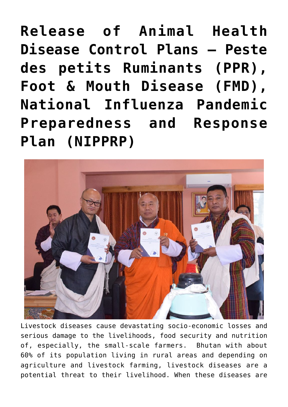**[Release of Animal Health](https://www.dol.gov.bt/release-of-animal-health-disease-control-plans-peste-des-petits-ruminants-ppr-foot-mouth-disease-fmd-national-influenza-pandemic-preparedness-and-response-plan-nipprp/) [Disease Control Plans – Peste](https://www.dol.gov.bt/release-of-animal-health-disease-control-plans-peste-des-petits-ruminants-ppr-foot-mouth-disease-fmd-national-influenza-pandemic-preparedness-and-response-plan-nipprp/) [des petits Ruminants \(PPR\),](https://www.dol.gov.bt/release-of-animal-health-disease-control-plans-peste-des-petits-ruminants-ppr-foot-mouth-disease-fmd-national-influenza-pandemic-preparedness-and-response-plan-nipprp/) [Foot & Mouth Disease \(FMD\),](https://www.dol.gov.bt/release-of-animal-health-disease-control-plans-peste-des-petits-ruminants-ppr-foot-mouth-disease-fmd-national-influenza-pandemic-preparedness-and-response-plan-nipprp/) [National Influenza Pandemic](https://www.dol.gov.bt/release-of-animal-health-disease-control-plans-peste-des-petits-ruminants-ppr-foot-mouth-disease-fmd-national-influenza-pandemic-preparedness-and-response-plan-nipprp/) [Preparedness and Response](https://www.dol.gov.bt/release-of-animal-health-disease-control-plans-peste-des-petits-ruminants-ppr-foot-mouth-disease-fmd-national-influenza-pandemic-preparedness-and-response-plan-nipprp/) [Plan \(NIPPRP\)](https://www.dol.gov.bt/release-of-animal-health-disease-control-plans-peste-des-petits-ruminants-ppr-foot-mouth-disease-fmd-national-influenza-pandemic-preparedness-and-response-plan-nipprp/)**



Livestock diseases cause devastating socio-economic losses and serious damage to the livelihoods, food security and nutrition of, especially, the small-scale farmers. Bhutan with about 60% of its population living in rural areas and depending on agriculture and livestock farming, livestock diseases are a potential threat to their livelihood. When these diseases are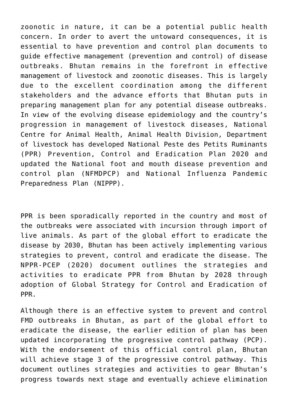zoonotic in nature, it can be a potential public health concern. In order to avert the untoward consequences, it is essential to have prevention and control plan documents to guide effective management (prevention and control) of disease outbreaks. Bhutan remains in the forefront in effective management of livestock and zoonotic diseases. This is largely due to the excellent coordination among the different stakeholders and the advance efforts that Bhutan puts in preparing management plan for any potential disease outbreaks. In view of the evolving disease epidemiology and the country's progression in management of livestock diseases, National Centre for Animal Health, Animal Health Division, Department of livestock has developed National Peste des Petits Ruminants (PPR) Prevention, Control and Eradication Plan 2020 and updated the National foot and mouth disease prevention and control plan (NFMDPCP) and National Influenza Pandemic Preparedness Plan (NIPPP).

PPR is been sporadically reported in the country and most of the outbreaks were associated with incursion through import of live animals. As part of the global effort to eradicate the disease by 2030, Bhutan has been actively implementing various strategies to prevent, control and eradicate the disease. The NPPR-PCEP (2020) document outlines the strategies and activities to eradicate PPR from Bhutan by 2028 through adoption of Global Strategy for Control and Eradication of PPR.

Although there is an effective system to prevent and control FMD outbreaks in Bhutan, as part of the global effort to eradicate the disease, the earlier edition of plan has been updated incorporating the progressive control pathway (PCP). With the endorsement of this official control plan, Bhutan will achieve stage 3 of the progressive control pathway. This document outlines strategies and activities to gear Bhutan's progress towards next stage and eventually achieve elimination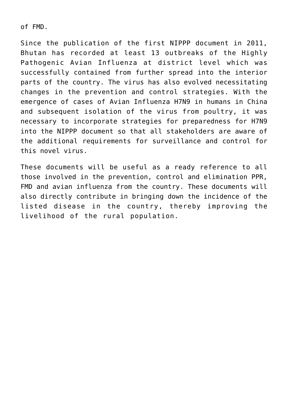of FMD.

Since the publication of the first NIPPP document in 2011, Bhutan has recorded at least 13 outbreaks of the Highly Pathogenic Avian Influenza at district level which was successfully contained from further spread into the interior parts of the country. The virus has also evolved necessitating changes in the prevention and control strategies. With the emergence of cases of Avian Influenza H7N9 in humans in China and subsequent isolation of the virus from poultry, it was necessary to incorporate strategies for preparedness for H7N9 into the NIPPP document so that all stakeholders are aware of the additional requirements for surveillance and control for this novel virus.

These documents will be useful as a ready reference to all those involved in the prevention, control and elimination PPR, FMD and avian influenza from the country. These documents will also directly contribute in bringing down the incidence of the listed disease in the country, thereby improving the livelihood of the rural population.